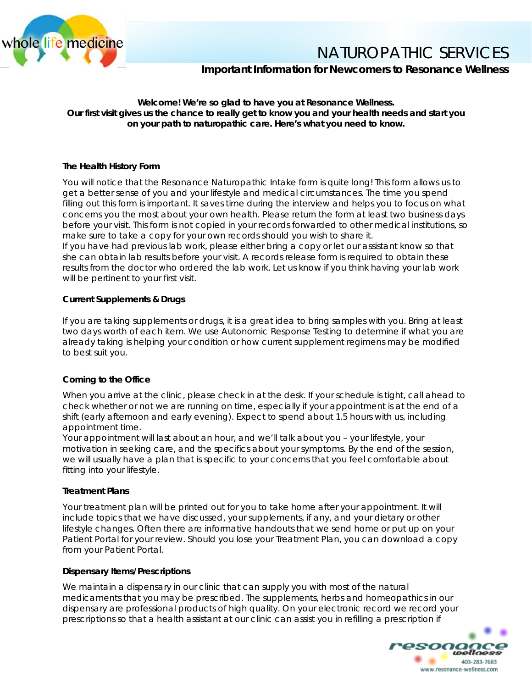

# NATUROPATHIC SERVICES

# **Important Information for Newcomers to Resonance Wellness**

# *Welcome! We're so glad to have you at Resonance Wellness. Our first visit gives us the chance to really get to know you and your health needs and start you on your path to naturopathic care. Here's what you need to know.*

#### **The Health History Form**

You will notice that the Resonance Naturopathic Intake form is quite long! This form allows us to get a better sense of you and your lifestyle and medical circumstances. The time you spend filling out this form is important. It saves time during the interview and helps you to focus on what concerns you the most about your own health. Please return the form at least two business days before your visit. This form is not copied in your records forwarded to other medical institutions, so make sure to take a copy for your own records should you wish to share it.

If you have had previous lab work, please either bring a copy or let our assistant know so that she can obtain lab results before your visit. A records release form is required to obtain these results from the doctor who ordered the lab work. Let us know if you think having your lab work will be pertinent to your first visit.

# **Current Supplements & Drugs**

If you are taking supplements or drugs, it is a great idea to bring samples with you. Bring at least two days worth of each item. We use Autonomic Response Testing to determine if what you are already taking is helping your condition or how current supplement regimens may be modified to best suit you.

# **Coming to the Office**

When you arrive at the clinic, please check in at the desk. If your schedule is tight, call ahead to check whether or not we are running on time, especially if your appointment is at the end of a shift (early afternoon and early evening). Expect to spend about 1.5 hours with us, including appointment time.

Your appointment will last about an hour, and we'll talk about you – your lifestyle, your motivation in seeking care, and the specifics about your symptoms. By the end of the session, we will usually have a plan that is specific to your concerns that you feel comfortable about fitting into your lifestyle.

#### **Treatment Plans**

Your treatment plan will be printed out for you to take home after your appointment. It will include topics that we have discussed, your supplements, if any, and your dietary or other lifestyle changes. Often there are informative handouts that we send home or put up on your Patient Portal for your review. Should you lose your Treatment Plan, you can download a copy from your Patient Portal.

#### **Dispensary Items/Prescriptions**

We maintain a dispensary in our clinic that can supply you with most of the natural medicaments that you may be prescribed. The supplements, herbs and homeopathics in our dispensary are professional products of high quality. On your electronic record we record your prescriptions so that a health assistant at our clinic can assist you in refilling a prescription if